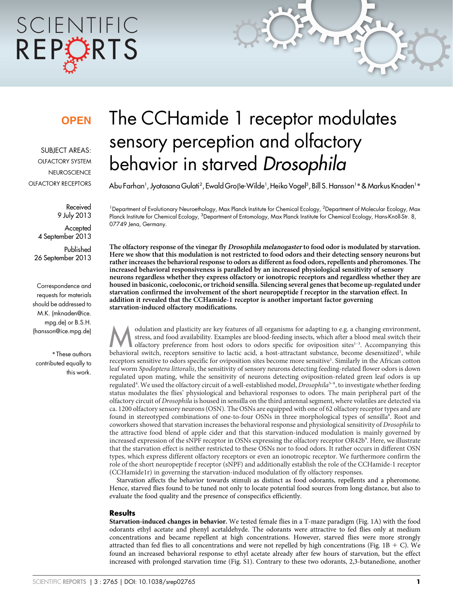# SCIENTIFIC REPORTS

### **OPEN**

SUBJECT AREAS: OLFACTORY SYSTEM **NEUROSCIENCE** OLFACTORY RECEPTORS

> Received 9 July 2013

Accepted 4 September 2013

Published 26 September 2013

Correspondence and requests for materials should be addressed to M.K. (mknaden@ice. mpg.de) or B.S.H. (hansson@ice.mpg.de)

\* These authors contributed equally to this work.

## The CCHamide 1 receptor modulates sensory perception and olfactory behavior in starved Drosophila

Abu Farhan', Jyotasana Gulati<sup>2</sup>, Ewald Groβe-Wilde', Heiko Vogel<sup>3</sup>, Bill S. Hansson'\* & Markus Knaden'\*

<sup>1</sup>Department of Evolutionary Neuroethology, Max Planck Institute for Chemical Ecology, <sup>2</sup>Department of Molecular Ecology, Max Planck Institute for Chemical Ecology, <sup>3</sup>Department of Entomology, Max Planck Institute for Chemical Ecology, Hans-Knöll-Str. 8, 07749 Jena, Germany.

The olfactory response of the vinegar fly Drosophila melanogaster to food odor is modulated by starvation. Here we show that this modulation is not restricted to food odors and their detecting sensory neurons but rather increases the behavioral response to odors as different as food odors, repellents and pheromones. The increased behavioral responsiveness is paralleled by an increased physiological sensitivity of sensory neurons regardless whether they express olfactory or ionotropic receptors and regardless whether they are housed in basiconic, coeloconic, or trichoid sensilla. Silencing several genes that become up-regulated under starvation confirmed the involvement of the short neuropeptide f receptor in the starvation effect. In addition it revealed that the CCHamide-1 receptor is another important factor governing starvation-induced olfactory modifications.

odulation and plasticity are key features of all organisms for adapting to e.g. a changing environment,<br>stress, and food availability. Examples are blood-feeding insects, which after a blood meal switch their<br>olfactory pre stress, and food availability. Examples are blood-feeding insects, which after a blood meal switch their olfactory preference from host odors to odors specific for oviposition sites<sup>1-3</sup>. Accompanying this behavioral switch, receptors sensitive to lactic acid, a host-attractant substance, become desensitized<sup>1</sup>, while receptors sensitive to odors specific for oviposition sites become more sensitive<sup>1</sup>. Similarly in the African cotton leaf worm Spodoptera littoralis, the sensitivity of sensory neurons detecting feeding-related flower odors is down regulated upon mating, while the sensitivity of neurons detecting oviposition-related green leaf odors is up regulated<sup>4</sup>. We used the olfactory circuit of a well-established model, *Drosophila<sup>5-8</sup>*, to investigate whether feeding status modulates the flies' physiological and behavioral responses to odors. The main peripheral part of the olfactory circuit of Drosophila is housed in sensilla on the third antennal segment, where volatiles are detected via ca. 1200 olfactory sensory neurons (OSN). The OSNs are equipped with one of 62 olfactory receptor types and are found in stereotyped combinations of one-to-four OSNs in three morphological types of sensilla8. Root and coworkers showed that starvation increases the behavioral response and physiological sensitivity of Drosophila to the attractive food blend of apple cider and that this starvation-induced modulation is mainly governed by increased expression of the sNPF receptor in OSNs expressing the olfactory receptor OR42b<sup>9</sup>. Here, we illustrate that the starvation effect is neither restricted to these OSNs nor to food odors. It rather occurs in different OSN types, which express different olfactory receptors or even an ionotropic receptor. We furthermore confirm the role of the short neuropeptide f receptor (sNPF) and additionally establish the role of the CCHamide-1 receptor (CCHamide1r) in governing the starvation-induced modulation of fly olfactory responses.

Starvation affects the behavior towards stimuli as distinct as food odorants, repellents and a pheromone. Hence, starved flies found to be tuned not only to locate potential food sources from long distance, but also to evaluate the food quality and the presence of conspecifics efficiently.

#### **Results**

Starvation-induced changes in behavior. We tested female flies in a T-maze paradigm (Fig. 1A) with the food odorants ethyl acetate and phenyl acetaldehyde. The odorants were attractive to fed flies only at medium concentrations and became repellent at high concentrations. However, starved flies were more strongly attracted than fed flies to all concentrations and were not repelled by high concentrations (Fig. 1B  $+$  C). We found an increased behavioral response to ethyl acetate already after few hours of starvation, but the effect increased with prolonged starvation time (Fig. S1). Contrary to these two odorants, 2,3-butanedione, another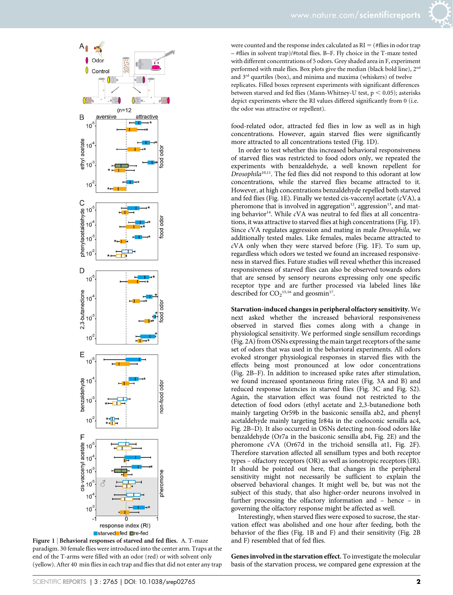



Figure 1 | Behavioral responses of starved and fed flies. A. T-maze paradigm. 30 female flies were introduced into the center arm. Traps at the end of the T-arms were filled with an odor (red) or with solvent only (yellow). After 40 min flies in each trap and flies that did not enter any trap

were counted and the response index calculated as  $RI = (\#flies in odor trap)$ – #flies in solvent trap)/#total flies. B–F. Fly choice in the T-maze tested with different concentrations of 5 odors. Grey shaded area in F, experiment performed with male flies. Box plots give the median (black bold line), 2<sup>nd</sup> and  $3<sup>rd</sup>$  quartiles (box), and minima and maxima (whiskers) of twelve replicates. Filled boxes represent experiments with significant differences between starved and fed flies (Mann-Whitney-U test,  $p < 0.05$ ); asterisks depict experiments where the RI values differed significantly from 0 (i.e. the odor was attractive or repellent).

food-related odor, attracted fed flies in low as well as in high concentrations. However, again starved flies were significantly more attracted to all concentrations tested (Fig. 1D).

In order to test whether this increased behavioral responsiveness of starved flies was restricted to food odors only, we repeated the experiments with benzaldehyde, a well known repellent for Drosophila<sup>10,11</sup>. The fed flies did not respond to this odorant at low concentrations, while the starved flies became attracted to it. However, at high concentrations benzaldehyde repelled both starved and fed flies (Fig. 1E). Finally we tested cis-vaccenyl acetate (cVA), a pheromone that is involved in aggregation<sup>12</sup>, aggression<sup>13</sup>, and mating behavior<sup>14</sup>. While  $cVA$  was neutral to fed flies at all concentrations, it was attractive to starved flies at high concentrations (Fig. 1F). Since cVA regulates aggression and mating in male Drosophila, we additionally tested males. Like females, males became attracted to  $cVA$  only when they were starved before (Fig. 1F). To sum up, regardless which odors we tested we found an increased responsiveness in starved flies. Future studies will reveal whether this increased responsiveness of starved flies can also be observed towards odors that are sensed by sensory neurons expressing only one specific receptor type and are further processed via labeled lines like described for  $CO_2$ <sup>15,16</sup> and geosmin<sup>17</sup>.

Starvation-induced changes in peripheral olfactory sensitivity. We next asked whether the increased behavioral responsiveness observed in starved flies comes along with a change in physiological sensitivity. We performed single sensillum recordings (Fig. 2A) from OSNs expressing the main target receptors of the same set of odors that was used in the behavioral experiments. All odors evoked stronger physiological responses in starved flies with the effects being most pronounced at low odor concentrations (Fig. 2B–F). In addition to increased spike rates after stimulation, we found increased spontaneous firing rates (Fig. 3A and B) and reduced response latencies in starved flies (Fig. 3C and Fig. S2). Again, the starvation effect was found not restricted to the detection of food odors (ethyl acetate and 2,3-butanedione both mainly targeting Or59b in the basiconic sensilla ab2, and phenyl acetaldehyde mainly targeting Ir84a in the coeloconic sensilla ac4, Fig. 2B–D). It also occurred in OSNs detecting non-food odors like benzaldehyde (Or7a in the basiconic sensilla ab4, Fig. 2E) and the pheromone cVA (Or67d in the trichoid sensilla at1, Fig. 2F). Therefore starvation affected all sensillum types and both receptor types – olfactory receptors (OR) as well as ionotropic receptors (IR). It should be pointed out here, that changes in the peripheral sensitivity might not necessarily be sufficient to explain the observed behavioral changes. It might well be, but was not the subject of this study, that also higher-order neurons involved in further processing the olfactory information and – hence – in governing the olfactory response might be affected as well.

Interestingly, when starved flies were exposed to sucrose, the starvation effect was abolished and one hour after feeding, both the behavior of the flies (Fig. 1B and F) and their sensitivity (Fig. 2B and F) resembled that of fed flies.

Genes involved in the starvation effect. To investigate the molecular basis of the starvation process, we compared gene expression at the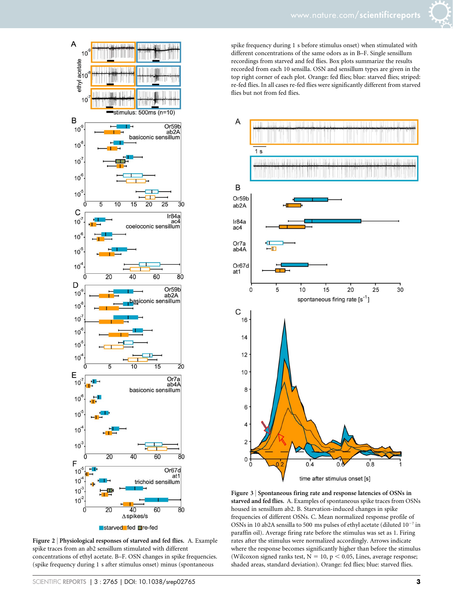

Figure 2 | Physiological responses of starved and fed flies. A. Example spike traces from an ab2 sensillum stimulated with different concentrations of ethyl acetate. B–F. OSN changes in spike frequencies. (spike frequency during 1 s after stimulus onset) minus (spontaneous

spike frequency during 1 s before stimulus onset) when stimulated with different concentrations of the same odors as in B–F. Single sensillum recordings from starved and fed flies. Box plots summarize the results recorded from each 10 sensilla. OSN and sensillum types are given in the top right corner of each plot. Orange: fed flies; blue: starved flies; striped: re-fed flies. In all cases re-fed flies were significantly different from starved flies but not from fed flies.



Figure 3 <sup>|</sup> Spontaneous firing rate and response latencies of OSNs in starved and fed flies. A. Examples of spontaneous spike traces from OSNs housed in sensillum ab2. B. Starvation-induced changes in spike frequencies of different OSNs. C. Mean normalized response profile of OSNs in 10 ab2A sensilla to 500 ms pulses of ethyl acetate (diluted  $10^{-7}$  in paraffin oil). Average firing rate before the stimulus was set as 1. Firing rates after the stimulus were normalized accordingly. Arrows indicate where the response becomes significantly higher than before the stimulus (Wilcoxon signed ranks test,  $N = 10$ ,  $p < 0.05$ , Lines, average response; shaded areas, standard deviation). Orange: fed flies; blue: starved flies.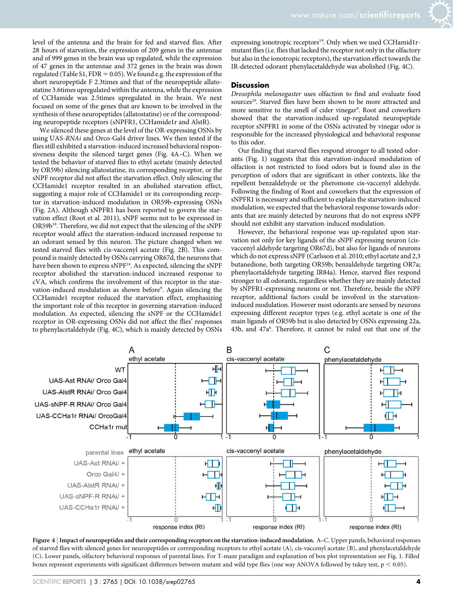level of the antenna and the brain for fed and starved flies. After 28 hours of starvation, the expression of 209 genes in the antennae and of 999 genes in the brain was up regulated, while the expression of 47 genes in the antennae and 372 genes in the brain was down regulated (Table S1, FDR = 0.05). We found e.g. the expression of the short neuropeptide F 2.3times and that of the neuropeptide allatostatine 3.6times upregulated within the antenna, while the expression of CCHamide was 2.5times upregulated in the brain. We next focused on some of the genes that are known to be involved in the synthesis of these neuropeptides (allatostatine) or of the corresponding neuropeptide receptors (sNPFR1, CCHamide1r and AlstR).

We silenced these genes at the level of the OR-expressing OSNs by using UAS-RNAi and Orco-Gal4 driver lines. We then tested if the flies still exhibited a starvation-induced increased behavioral responsiveness despite the silenced target genes (Fig. 4A–C). When we tested the behavior of starved flies to ethyl acetate (mainly detected by OR59b) silencing allatostatine, its corresponding receptor, or the sNPF receptor did not affect the starvation effect. Only silencing the CCHamide1 receptor resulted in an abolished starvation effect, suggesting a major role of CCHamide1 or its corresponding receptor in starvation-induced modulation in OR59b-expressing OSNs (Fig. 2A). Although sNPFR1 has been reported to govern the starvation effect (Root et al. 2011), sNPF seems not to be expressed in  $OR59b^{18}$ . Therefore, we did not expect that the silencing of the sNPF receptor would affect the starvation-induced increased response to an odorant sensed by this neuron. The picture changed when we tested starved flies with cis-vaccenyl acetate (Fig. 2B). This compound is mainly detected by OSNs carrying OR67d, the neurons that have been shown to express sNPF<sup>18</sup>. As expected, silencing the sNPF receptor abolished the starvation-induced increased response to cVA, which confirms the involvement of this receptor in the starvation-induced modulation as shown before<sup>9</sup>. Again silencing the CCHamide1 receptor reduced the starvation effect, emphasizing the important role of this receptor in governing starvation-induced modulation. As expected, silencing the sNPF or the CCHamide1 receptor in OR-expressing OSNs did not affect the flies' responses to phenylacetaldehyde (Fig. 4C), which is mainly detected by OSNs

expressing ionotropic receptors<sup>19</sup>. Only when we used CCHamid1rmutant flies (i.e. flies that lacked the receptor not only in the olfactory but also in the ionotropic receptors), the starvation effect towards the IR-detected odorant phenylacetaldehyde was abolished (Fig. 4C).

#### **Discussion**

Drosophila melanogaster uses olfaction to find and evaluate food sources<sup>20</sup>. Starved flies have been shown to be more attracted and more sensitive to the smell of cider vinegar<sup>9</sup>. Root and coworkers showed that the starvation-induced up-regulated neuropeptide receptor sNPFR1 in some of the OSNs activated by vinegar odor is responsible for the increased physiological and behavioral response to this odor.

Our finding that starved flies respond stronger to all tested odorants (Fig. 1) suggests that this starvation-induced modulation of olfaction is not restricted to food odors but is found also in the perception of odors that are significant in other contexts, like the repellent benzaldehyde or the pheromone cis-vaccenyl aldehyde. Following the finding of Root and coworkers that the expression of sNPFR1 is necessary and sufficient to explain the starvation-induced modulation, we expected that the behavioral response towards odorants that are mainly detected by neurons that do not express sNPF should not exhibit any starvation-induced modulation.

However, the behavioral response was up-regulated upon starvation not only for key ligands of the sNPF expressing neuron (cisvaccenyl aldehyde targeting OR67d), but also for ligands of neurons which do not express sNPF (Carlsson et al. 2010; ethyl acetate and 2,3 butanedione, both targeting OR59b; benzaldehyde targeting OR7a; phenylacetaldehyde targeting IR84a). Hence, starved flies respond stronger to all odorants, regardless whether they are mainly detected by sNPFR1-expressing neurons or not. Therefore, beside the sNPF receptor, additional factors could be involved in the starvationinduced modulation. However most odorants are sensed by neurons expressing different receptor types (e.g. ethyl acetate is one of the main ligands of OR59b but is also detected by OSNs expressing 22a, 43b, and 47a<sup>6</sup>. Therefore, it cannot be ruled out that one of the



Figure 4 <sup>|</sup> Impact of neuropeptides and their corresponding receptors on the starvation-induced modulation. A–C. Upper panels, behavioral responses of starved flies with silenced genes for neuropeptides or corresponding receptors to ethyl acetate (A), cis-vaccenyl acetate (B), and phenylacetaldehyde (C). Lower panels, olfactory behavioral responses of parental lines. For T-maze paradigm and explanation of box plot representation see Fig. 1. Filled boxes represent experiments with significant differences between mutant and wild type flies (one way ANOVA followed by tukey test,  $p < 0.05$ ).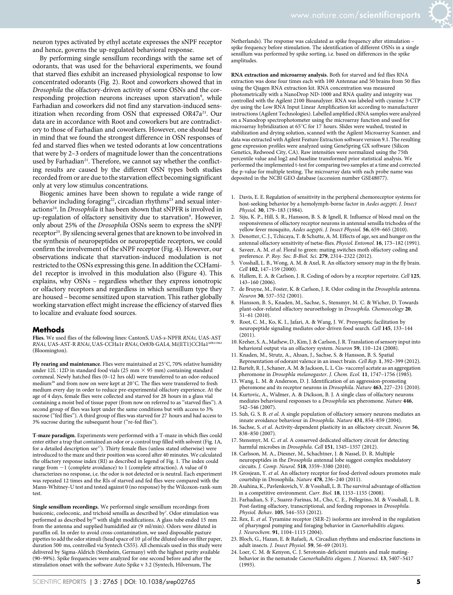neuron types activated by ethyl acetate expresses the sNPF receptor and hence, governs the up-regulated behavioral response.

By performing single sensillum recordings with the same set of odorants, that was used for the behavioral experiments, we found that starved flies exhibit an increased physiological response to low concentrated odorants (Fig. 2). Root and coworkers showed that in Drosophila the olfactory-driven activity of some OSNs and the corresponding projection neurons increases upon starvation<sup>9</sup>, while Farhadian and coworkers did not find any starvation-induced sensitization when recording from OSN that expressed OR47a<sup>21</sup>. Our data are in accordance with Root and coworkers but are contradictory to those of Farhadian and coworkers. However, one should bear in mind that we found the strongest difference in OSN responses of fed and starved flies when we tested odorants at low concentrations that were by 2–3 orders of magnitude lower than the concentrations used by Farhadian<sup>21</sup>. Therefore, we cannot say whether the conflicting results are caused by the different OSN types both studies recorded from or are due to the starvation effect becoming significant only at very low stimulus concentrations.

Biogenic amines have been shown to regulate a wide range of behavior including foraging<sup>22</sup>, circadian rhythms<sup>23</sup> and sexual interactions<sup>24</sup>. In *Drosophila* it has been shown that sNPFR is involved in up-regulation of olfactory sensitivity due to starvation<sup>9</sup>. However, only about 25% of the Drosophila OSNs seem to express the sNPF receptor<sup>25</sup>. By silencing several genes that are known to be involved in the synthesis of neuropeptides or neuropeptide receptors, we could confirm the involvement of the sNPF receptor (Fig. 4). However, our observations indicate that starvation-induced modulation is not restricted to the OSNs expressing this gene. In addition the CCHamide1 receptor is involved in this modulation also (Figure 4). This explains, why OSNs – regardless whether they express ionotropic or olfactory receptors and regardless in which sensillum type they are housed – become sensitized upon starvation. This rather globally working starvation effect might increase the efficiency of starved flies to localize and evaluate food sources.

#### Methods

Flies. We used flies of the following lines: CantonS, UAS-s-NPFR RNAi, UAS-AST RNAi, UAS-AST-R RNAi, UAS-CCHa1r RNAi, Or83b GAL4, Mi{ET1}CCHa1MB (Bloomington).

Fly rearing and maintenance. Flies were maintained at  $25^{\circ}$ C, 70% relative humidity under 12L: 12D in standard food vials (25 mm  $\times$  95 mm) containing standard cornmeal. Newly hatched flies (0–12 hrs old) were transferred to an odor-reduced medium<sup>26</sup> and from now on were kept at 20 $^{\circ}$ C. The flies were transferred to fresh medium every day in order to reduce pre-experimental olfactory experience. At the age of 4 days, female flies were collected and starved for 28 hours in a glass vial containing a moist bed of tissue paper (from now on referred to as ''starved flies''). A second group of flies was kept under the same conditions but with access to 3% sucrose (''fed flies''). A third group of flies was starved for 27 hours and had access to 3% sucrose during the subsequent hour (''re-fed flies'').

T-maze paradigm. Experiments were performed with a T-maze in which flies could enter either a trap that contained an odor or a control trap filled with solvent (Fig. 1A, for a detailed description see<sup>17</sup>). Thirty female flies (unless stated otherwise) were introduced to the maze and their position was scored after 40 minutes. We calculated the olfactory response index (RI) as described in legend of Fig. 1. The index could range from  $-1$  (complete avoidance) to 1 (complete attraction). A value of 0 characterizes no response, i.e. the odor is not detected or is neutral. Each experiment was repeated 12 times and the RIs of starved and fed flies were compared with the Mann-Whitney-U test and tested against 0 (no response) by the Wilcoxon-rank-sum test.

Single sensillum recordings. We performed single sensillum recordings from basiconic, coeloconic, and trichoid sensilla as described by<sup>7</sup>. Odor stimulation was performed as described by<sup>18</sup> with slight modifications. A glass tube ended 15 mm from the antenna and supplied humidified air (9 ml/min). Odors were diluted in paraffin oil. In order to avoid cross-contamination, we used disposable pasture pipettes to add the odor stimuli (head space of 10 µl of the diluted odor on filter paper, duration 500 ms, controlled via Syntech CS55). All chemicals used in this study were delivered by Sigma-Aldrich (Stenheim, Germany) with the highest purity available (90–99%). Spike frequencies were analyzed for one second before and after the stimulation onset with the software Auto Spike v 3.2 (Syntech, Hilversum, The

Netherlands). The response was calculated as spike frequency after stimulation – spike frequency before stimulation. The identification of different OSNs in a single sensillum was performed by spike sorting, i.e. based on differences in the spike amplitudes.

RNA extraction and microarray analysis. Both for starved and fed flies RNA extraction was done four times each with 100 Antennae and 50 brains from 50 flies using the Qiagen RNA extraction kit. RNA concentration was measured photometrically with a NanoDrop ND-1000 and RNA quality and integrity was controlled with the Agilent 2100 Bioanalyzer. RNA was labeled with cyanine 3-CTP dye using the Low RNA Input Linear Amplification kit according to manufacturer instructions (Agilent Technologies). Labelled amplified cRNA samples were analyzed on a Nanodrop spectrophotometer using the microarray function and used for microarray hybridization at 65°C for 17 hours. Slides were washed, treated in stabilization and drying solution, scanned with the Agilent Microarray Scanner, and data was extracted with Agilent Feature Extraction software version 9.1. The resulting gene expression profiles were analyzed using GeneSpring GX software (Silicon Genetics, Redwood City, CA). Raw intensities were normalized using the 75th percentile value and log2 and baseline transformed prior statistical analysis. We performed the implemented t-test for comparing two samples at a time and corrected the p-value for multiple testing. The microarray data with each probe name was deposited in the NCBI GEO database (accession number GSE48077).

- 1. Davis, E. E. Regulation of sensitivity in the peripheral chemoreceptor systems for host-seeking behavior by a hemolymph-borne factor in Aedes aegypti. J. Insect Physiol. 30, 179–183 (1984).
- 2. Siju, K. P., Hill, S. R., Hansson, B. S. & Ignell, R. Influence of blood meal on the responsiveness of olfactory receptor neurons in antennal sensilla trichodea of the yellow fever mosquito, Aedes aegypti. J. Insect Physiol. 56, 659–665 (2010).
- 3. Denotter, C. J., Tchicaya, T. & Schutte, A. M. Effects of age, sex and hunger on the antennal olfactory sensitivity of tsetse-flies. Physiol. Entomol. 16, 173–182 (1991).
- Saveer, A. M. et al. Floral to green: mating switches moth olfactory coding and preference. P. Roy. Soc. B-Biol. Sci. 279, 2314–2322 (2012).
- 5. Vosshall, L. B., Wong, A. M. & Axel, R. An olfactory sensory map in the fly brain. Cell 102, 147-159 (2000).
- 6. Hallem, E. A. & Carlson, J. R. Coding of odors by a receptor repertoire. Cell 125, 143–160 (2006).
- de Bruyne, M., Foster, K. & Carlson, J. R. Odor coding in the Drosophila antenna. Neuron 30, 537–552 (2001).
- 8. Hansson, B. S., Knaden, M., Sachse, S., Stensmyr, M. C. & Wicher, D. Towards plant-odor-related olfactory neuroethology in Drosophila. Chemoecology 20,  $\overline{51}$ –61 (2010).
- 9. Root, C. M., Ko, K. I., Jafari, A. & Wang, J. W. Presynaptic facilitation by neuropeptide signaling mediates odor-driven food search. Cell 145, 133–144  $(2011)$ .
- 10. Kreher, S. A., Mathew, D., Kim, J. & Carlson, J. R. Translation of sensory input into behavioral output via an olfactory system. Neuron 59, 110–124 (2008).
- 11. Knaden, M., Strutz, A., Ahsan, J., Sachse, S. & Hansson, B. S. Spatial Representation of odorant valence in an insect brain. Cell Rep. 1, 392–399 (2012).
- 12. Bartelt, R. J., Schaner, A. M. & Jackson, L. L. Cis- vaccenyl acetate as an aggregation pheromone in Drosophla melanogaster. J. Chem. Ecol. 11, 1747–1756 (1985). 13. Wang, L. M. & Anderson, D. J. Identification of an aggression-promoting
- pheromone and its receptor neurons in Drosophila. Nature 463, 227-231 (2010). 14. Kurtovic, A., Widmer, A. & Dickson, B. J. A single class of olfactory neurons
- mediates behavioural responses to a Drosophila sex pheromone. Nature 446, 542–546 (2007).
- 15. Suh, G. S. B. et al. A single population of olfactory sensory neurons mediates an innate avoidance behaviour in Drosophila. Nature 431, 854–859 (2004).
- 16. Sachse, S. et al. Activity-dependent plasticity in an olfactory circuit. Neuron 56, 838–850 (2007).
- 17. Stensmyr, M. C. et al. A conserved dedicated olfactory circuit for detecting harmful microbes in Drosophila. Cell 151, 1345-1357 (2012).
- 18. Carlsson, M. A., Diesner, M., Schachtner, J. & Nassel, D. R. Multiple neuropeptides in the Drosophila antennal lobe suggest complex modulatory circuits. J. Comp. Neurol. 518, 3359–3380 (2010).
- 19. Grosjean, Y. et al. An olfactory receptor for food-derived odours promotes male courtship in Drosophila. Nature 478, 236–240 (2011).
- 20. Asahina, K., Pavlenkovich, V. & Vosshall, L. B. The survival advantage of olfaction in a competitive environment. Curr. Biol. 18, 1153–1155 (2008).
- 21. Farhadian, S. F., Suarez-Farinas, M., Cho, C. E., Pellegrino, M. & Vosshall, L. B. Post-fasting olfactory, transcriptional, and feeding responses in Drosophila. Physiol. Behav. 105, 544–553 (2012).
- 22. Rex, E. et al. Tyramine receptor (SER-2) isoforms are involved in the regulation of pharyngeal pumping and foraging behavior in Caenorhabditis elegans. J. Neurochem. 91, 1104–1115 (2004).
- 23. Bloch, G., Hazan, E. & Rafaeli, A. Circadian rhythms and endocrine functions in adult insects. J. Insect Physiol. 59, 56–69 (2013).
- 24. Loer, C. M. & Kenyon, C. J. Serotonin-deficient mutants and male matingbehavior in the nematode Caenorhabditis elegans. J. Neurosci. 13, 5407–5417 (1993).